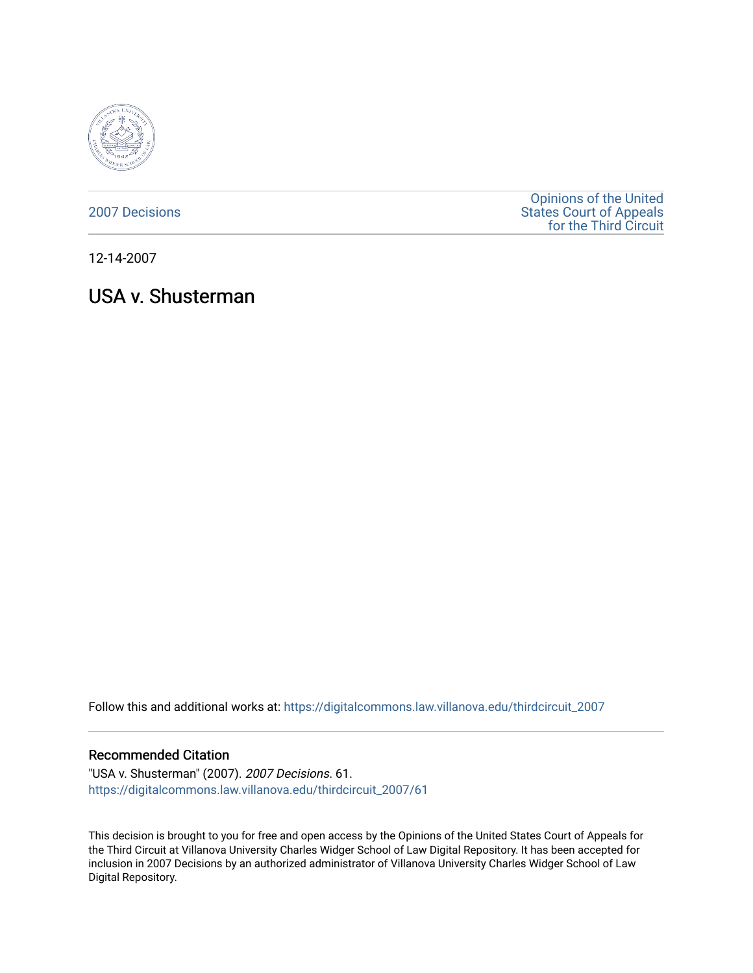

[2007 Decisions](https://digitalcommons.law.villanova.edu/thirdcircuit_2007)

[Opinions of the United](https://digitalcommons.law.villanova.edu/thirdcircuit)  [States Court of Appeals](https://digitalcommons.law.villanova.edu/thirdcircuit)  [for the Third Circuit](https://digitalcommons.law.villanova.edu/thirdcircuit) 

12-14-2007

# USA v. Shusterman

Follow this and additional works at: [https://digitalcommons.law.villanova.edu/thirdcircuit\\_2007](https://digitalcommons.law.villanova.edu/thirdcircuit_2007?utm_source=digitalcommons.law.villanova.edu%2Fthirdcircuit_2007%2F61&utm_medium=PDF&utm_campaign=PDFCoverPages) 

#### Recommended Citation

"USA v. Shusterman" (2007). 2007 Decisions. 61. [https://digitalcommons.law.villanova.edu/thirdcircuit\\_2007/61](https://digitalcommons.law.villanova.edu/thirdcircuit_2007/61?utm_source=digitalcommons.law.villanova.edu%2Fthirdcircuit_2007%2F61&utm_medium=PDF&utm_campaign=PDFCoverPages)

This decision is brought to you for free and open access by the Opinions of the United States Court of Appeals for the Third Circuit at Villanova University Charles Widger School of Law Digital Repository. It has been accepted for inclusion in 2007 Decisions by an authorized administrator of Villanova University Charles Widger School of Law Digital Repository.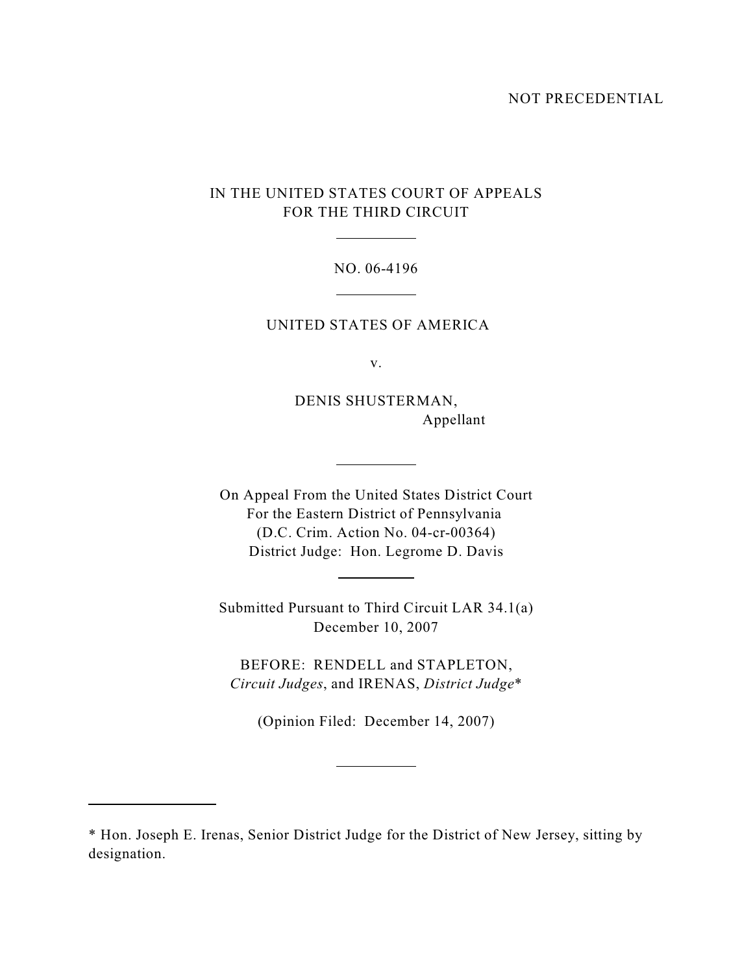#### NOT PRECEDENTIAL

# IN THE UNITED STATES COURT OF APPEALS FOR THE THIRD CIRCUIT

 $\overline{a}$ 

 $\overline{a}$ 

 $\overline{a}$ 

 $\overline{a}$ 

 $\overline{a}$ 

 $\overline{a}$ 

#### NO. 06-4196

## UNITED STATES OF AMERICA

v.

DENIS SHUSTERMAN, Appellant

On Appeal From the United States District Court For the Eastern District of Pennsylvania (D.C. Crim. Action No. 04-cr-00364) District Judge: Hon. Legrome D. Davis

Submitted Pursuant to Third Circuit LAR 34.1(a) December 10, 2007

BEFORE: RENDELL and STAPLETON, *Circuit Judges*, and IRENAS, *District Judge*\*

(Opinion Filed: December 14, 2007)

<sup>\*</sup> Hon. Joseph E. Irenas, Senior District Judge for the District of New Jersey, sitting by designation.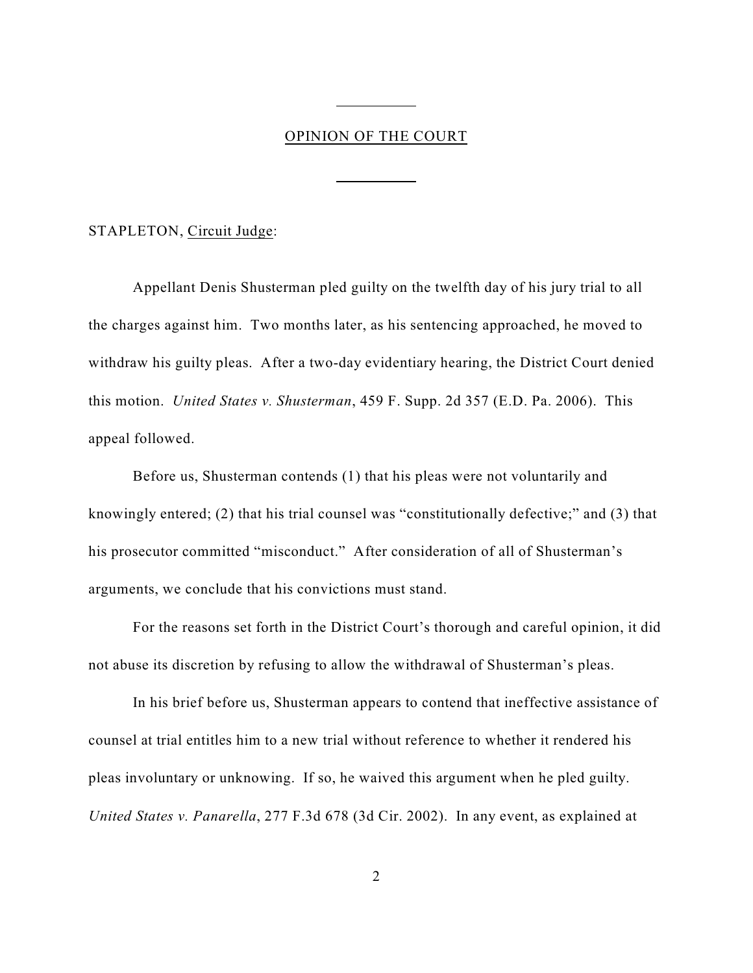### OPINION OF THE COURT

 $\overline{a}$ 

 $\overline{a}$ 

#### STAPLETON, Circuit Judge:

Appellant Denis Shusterman pled guilty on the twelfth day of his jury trial to all the charges against him. Two months later, as his sentencing approached, he moved to withdraw his guilty pleas. After a two-day evidentiary hearing, the District Court denied this motion. *United States v. Shusterman*, 459 F. Supp. 2d 357 (E.D. Pa. 2006). This appeal followed.

Before us, Shusterman contends (1) that his pleas were not voluntarily and knowingly entered; (2) that his trial counsel was "constitutionally defective;" and (3) that his prosecutor committed "misconduct." After consideration of all of Shusterman's arguments, we conclude that his convictions must stand.

For the reasons set forth in the District Court's thorough and careful opinion, it did not abuse its discretion by refusing to allow the withdrawal of Shusterman's pleas.

In his brief before us, Shusterman appears to contend that ineffective assistance of counsel at trial entitles him to a new trial without reference to whether it rendered his pleas involuntary or unknowing. If so, he waived this argument when he pled guilty. *United States v. Panarella*, 277 F.3d 678 (3d Cir. 2002). In any event, as explained at